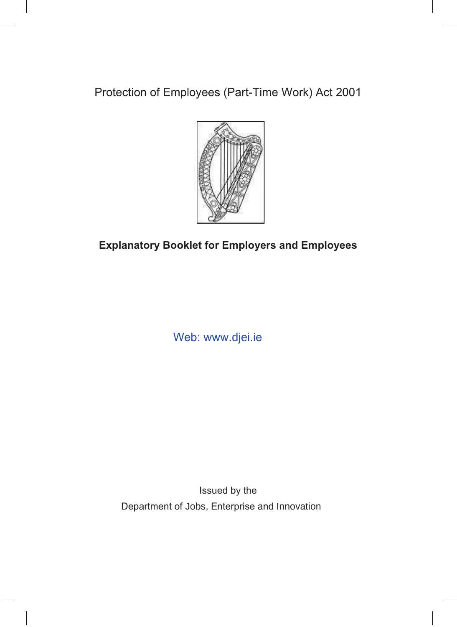Protection of Employees (Part-Time Work) Act 2001



# **Explanatory Booklet for Employers and Employees**

Web: www.djei.ie

Issued by the Department of Jobs, Enterprise and Innovation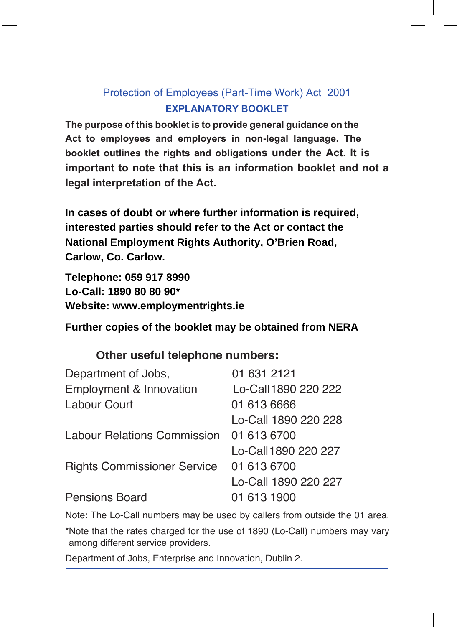# Protection of Employees (Part-Time Work) Act 2001 **EXPLANATORY BOOKLET**

The purpose of this booklet is to provide general guidance on the Act to employees and employers in non-legal language. The **booklet outlines the rights and obligations under the Act. It is important to note that this is an information booklet and not a legal interpretation of the Act.** 

**In cases of doubt or where further information is required, interested parties should refer to the Act or contact the National Employment Rights Authority, O'Brien Road, Carlow, Co. Carlow.** 

**Telephone: 059 917 8990 Lo-Call: 1890 80 80 90\* Website: www.employmentrights.ie**

#### **Further copies of the booklet may be obtained from NERA**

#### **Other useful telephone numbers:**

| Department of Jobs,                | 01 631 2121          |
|------------------------------------|----------------------|
| Employment & Innovation            | Lo-Call 1890 220 222 |
| Labour Court                       | 01 613 6666          |
|                                    | Lo-Call 1890 220 228 |
| <b>Labour Relations Commission</b> | 01 613 6700          |
|                                    | Lo-Call 1890 220 227 |
| <b>Rights Commissioner Service</b> | 01 613 6700          |
|                                    | Lo-Call 1890 220 227 |
| <b>Pensions Board</b>              | 01 613 1900          |

Note: The Lo-Call numbers may be used by callers from outside the 01 area.

\* Note that the rates charged for the use of 1890 (Lo-Call) numbers may vary among different service providers.

Department of Jobs, Enterprise and Innovation, Dublin 2.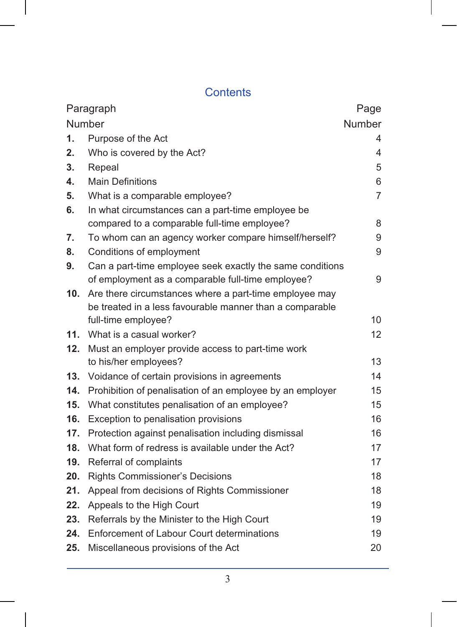# Contents

| Paragraph       |                                                           | Page           |
|-----------------|-----------------------------------------------------------|----------------|
| Number          |                                                           | Number         |
| 1.              | Purpose of the Act                                        | 4              |
| 2.              | Who is covered by the Act?                                | $\overline{4}$ |
| 3.              | Repeal                                                    | 5              |
| 4.              | <b>Main Definitions</b>                                   | 6              |
| 5.              | What is a comparable employee?                            | $\overline{7}$ |
| 6.              | In what circumstances can a part-time employee be         |                |
|                 | compared to a comparable full-time employee?              | 8              |
| 7.              | To whom can an agency worker compare himself/herself?     | 9              |
| 8.              | Conditions of employment                                  | 9              |
| 9.              | Can a part-time employee seek exactly the same conditions |                |
|                 | of employment as a comparable full-time employee?         | 9              |
| 10 <sub>1</sub> | Are there circumstances where a part-time employee may    |                |
|                 | be treated in a less favourable manner than a comparable  |                |
|                 | full-time employee?                                       | 10             |
| 11.             | What is a casual worker?                                  | 12             |
| 12.             | Must an employer provide access to part-time work         |                |
|                 | to his/her employees?                                     | 13             |
| 13.             | Voidance of certain provisions in agreements              | 14             |
| 14.             | Prohibition of penalisation of an employee by an employer | 15             |
| 15.             | What constitutes penalisation of an employee?             | 15             |
| 16.             | Exception to penalisation provisions                      | 16             |
| 17.             | Protection against penalisation including dismissal       | 16             |
| 18.             | What form of redress is available under the Act?          | 17             |
| 19.             | Referral of complaints                                    | 17             |
| 20.             | <b>Rights Commissioner's Decisions</b>                    | 18             |
| 21.             | Appeal from decisions of Rights Commissioner              | 18             |
| 22.             | Appeals to the High Court                                 | 19             |
| 23.             | Referrals by the Minister to the High Court               | 19             |
| 24.             | Enforcement of Labour Court determinations                | 19             |
| 25.             | Miscellaneous provisions of the Act                       | 20             |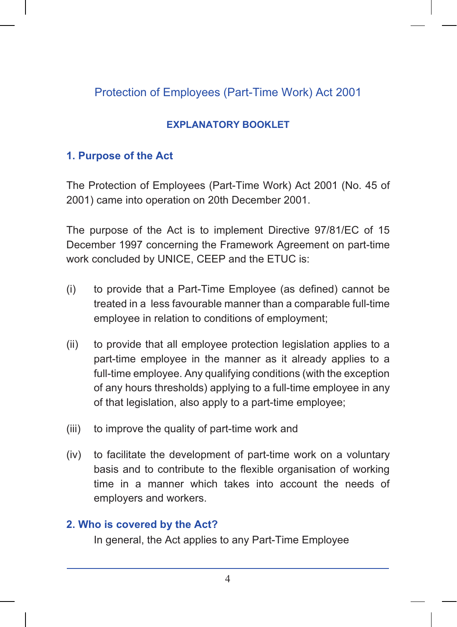# Protection of Employees (Part-Time Work) Act 2001

### **EXPLANATORY BOOKLET**

#### 1. Purpose of the Act

The Protection of Employees (Part-Time Work) Act 2001 (No. 45 of 2001) came into operation on 20th December 2001.

The purpose of the Act is to implement Directive 97/81/EC of 15 December 1997 concerning the Framework Agreement on part-time work concluded by UNICE, CEEP and the ETUC is:

- $(i)$ to provide that a Part-Time Employee (as defined) cannot be treated in a less favourable manner than a comparable full-time employee in relation to conditions of employment;
- $(ii)$ to provide that all employee protection legislation applies to a part-time employee in the manner as it already applies to a full-time employee. Any qualifying conditions (with the exception of any hours thresholds) applying to a full-time employee in any of that legislation, also apply to a part-time employee;
- to improve the quality of part-time work and  $(iii)$
- to facilitate the development of part-time work on a voluntary  $(iv)$ basis and to contribute to the flexible organisation of working time in a manner which takes into account the needs of employers and workers.

#### 2. Who is covered by the Act?

In general, the Act applies to any Part-Time Employee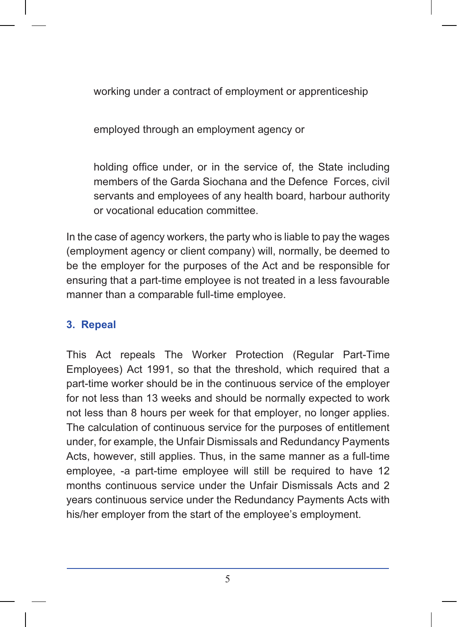working under a contract of employment or apprenticeship

employed through an employment agency or

holding office under, or in the service of, the State including members of the Garda Siochana and the Defence Forces, civil servants and emplovees of any health board, harbour authority or vocational education committee.

In the case of agency workers, the party who is liable to pay the wages (employment agency or client company) will, normally, be deemed to be the employer for the purposes of the Act and be responsible for ensuring that a part-time employee is not treated in a less favourable manner than a comparable full-time employee.

#### 3. Repeal

This Act repeals The Worker Protection (Regular Part-Time Employees) Act 1991, so that the threshold, which required that a part-time worker should be in the continuous service of the employer for not less than 13 weeks and should be normally expected to work not less than 8 hours per week for that employer, no longer applies. The calculation of continuous service for the purposes of entitlement under, for example, the Unfair Dismissals and Redundancy Payments Acts, however, still applies. Thus, in the same manner as a full-time employee, -a part-time employee will still be required to have 12 months continuous service under the Unfair Dismissals Acts and 2 years continuous service under the Redundancy Payments Acts with his/her employer from the start of the employee's employment.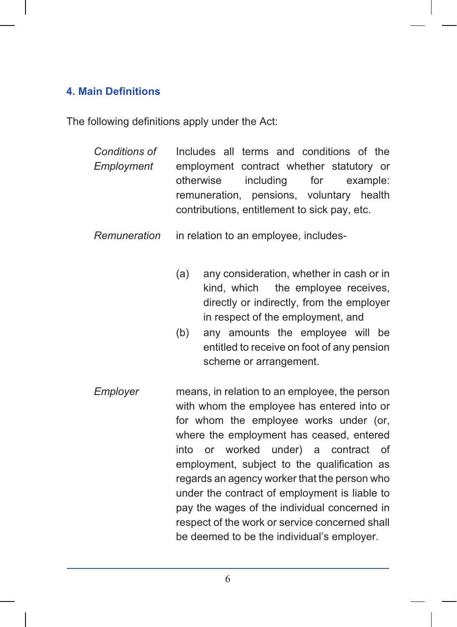# **4. Main Definitions**

The following definitions apply under the Act:

| Conditions of<br>Employment | Includes all terms and conditions of the<br>employment contract whether statutory or<br>including<br>for<br>otherwise<br>example:<br>remuneration, pensions, voluntary health<br>contributions, entitlement to sick pay, etc.                                                                                                                                                                                                                                                                                                  |
|-----------------------------|--------------------------------------------------------------------------------------------------------------------------------------------------------------------------------------------------------------------------------------------------------------------------------------------------------------------------------------------------------------------------------------------------------------------------------------------------------------------------------------------------------------------------------|
| Remuneration                | in relation to an employee, includes-                                                                                                                                                                                                                                                                                                                                                                                                                                                                                          |
|                             | (a)<br>any consideration, whether in cash or in<br>kind, which<br>the employee receives,<br>directly or indirectly, from the employer<br>in respect of the employment, and<br>any amounts the employee will be<br>(b)<br>entitled to receive on foot of any pension<br>scheme or arrangement.                                                                                                                                                                                                                                  |
| Employer                    | means, in relation to an employee, the person<br>with whom the employee has entered into or<br>for whom the employee works under (or,<br>where the employment has ceased, entered<br>into or worked under) a<br>contract<br>of<br>employment, subject to the qualification as<br>regards an agency worker that the person who<br>under the contract of employment is liable to<br>pay the wages of the individual concerned in<br>respect of the work or service concerned shall<br>be deemed to be the individual's employer. |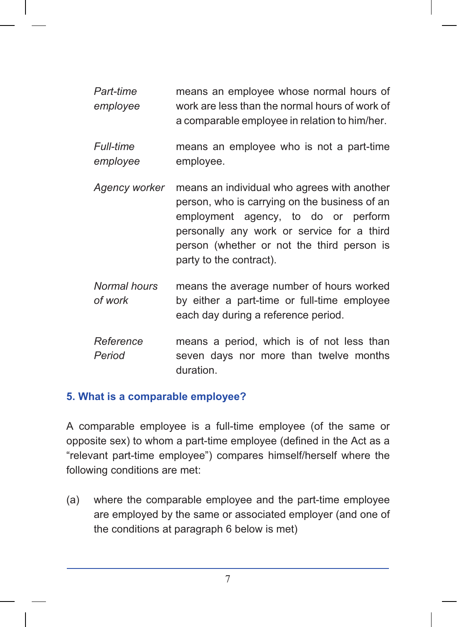Part-time means an emplovee whose normal hours of work are less than the normal hours of work of emplovee a comparable employee in relation to him/her.

**Full-time** means an employee who is not a part-time employee. employee

- Agency worker means an individual who agrees with another person, who is carrying on the business of an employment agency, to do or perform personally any work or service for a third person (whether or not the third person is party to the contract).
- Normal hours means the average number of hours worked of work by either a part-time or full-time employee each day during a reference period.
- Reference means a period, which is of not less than Period seven days nor more than twelve months duration

#### 5. What is a comparable employee?

A comparable employee is a full-time employee (of the same or opposite sex) to whom a part-time employee (defined in the Act as a "relevant part-time employee") compares himself/herself where the following conditions are met:

 $(a)$ where the comparable employee and the part-time employee are employed by the same or associated employer (and one of the conditions at paragraph 6 below is met)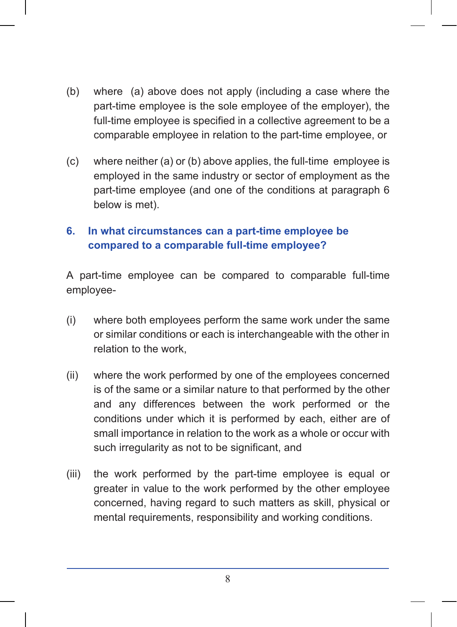- $(b)$ where (a) above does not apply (including a case where the part-time employee is the sole employee of the employer), the full-time employee is specified in a collective agreement to be a comparable employee in relation to the part-time employee, or
- $(c)$ where neither (a) or (b) above applies, the full-time employee is employed in the same industry or sector of employment as the part-time employee (and one of the conditions at paragraph 6 below is met).

#### 6. In what circumstances can a part-time employee be compared to a comparable full-time employee?

A part-time employee can be compared to comparable full-time employee-

- $(i)$ where both employees perform the same work under the same or similar conditions or each is interchangeable with the other in relation to the work.
- $(ii)$ where the work performed by one of the employees concerned is of the same or a similar nature to that performed by the other and any differences between the work performed or the conditions under which it is performed by each, either are of small importance in relation to the work as a whole or occur with such irregularity as not to be significant, and
- $(iii)$ the work performed by the part-time employee is equal or greater in value to the work performed by the other employee concerned, having regard to such matters as skill, physical or mental requirements, responsibility and working conditions.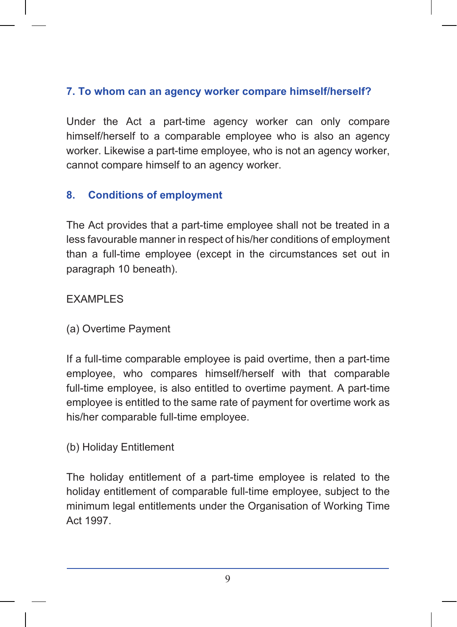## 7. To whom can an agency worker compare himself/herself?

Under the Act a part-time agency worker can only compare himself/herself to a comparable employee who is also an agency worker. Likewise a part-time employee, who is not an agency worker, cannot compare himself to an agency worker.

#### 8. **Conditions of employment**

The Act provides that a part-time employee shall not be treated in a less favourable manner in respect of his/her conditions of employment than a full-time employee (except in the circumstances set out in paragraph 10 beneath).

#### **EXAMPLES**

(a) Overtime Payment

If a full-time comparable employee is paid overtime, then a part-time employee, who compares himself/herself with that comparable full-time employee, is also entitled to overtime payment. A part-time employee is entitled to the same rate of payment for overtime work as his/her comparable full-time employee.

#### (b) Holiday Entitlement

The holiday entitlement of a part-time employee is related to the holiday entitlement of comparable full-time employee, subject to the minimum legal entitlements under the Organisation of Working Time Act 1997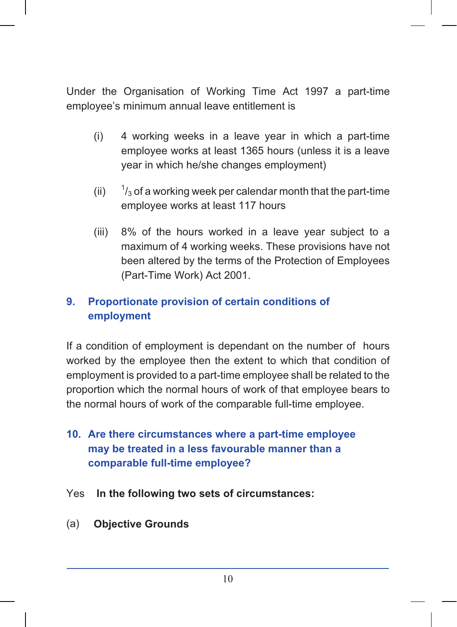Under the Organisation of Working Time Act 1997 a part-time employee's minimum annual leave entitlement is

- $(i)$ 4 working weeks in a leave year in which a part-time employee works at least 1365 hours (unless it is a leave year in which he/she changes employment)
- $(ii)$  $\frac{1}{3}$  of a working week per calendar month that the part-time employee works at least 117 hours
- $(iii)$ 8% of the hours worked in a leave year subject to a maximum of 4 working weeks. These provisions have not been altered by the terms of the Protection of Employees (Part-Time Work) Act 2001.

#### 9. Proportionate provision of certain conditions of employment

If a condition of employment is dependant on the number of hours worked by the employee then the extent to which that condition of employment is provided to a part-time employee shall be related to the proportion which the normal hours of work of that employee bears to the normal hours of work of the comparable full-time employee.

- 10. Are there circumstances where a part-time employee may be treated in a less favourable manner than a comparable full-time employee?
- Yes In the following two sets of circumstances:
- **Objective Grounds**  $(a)$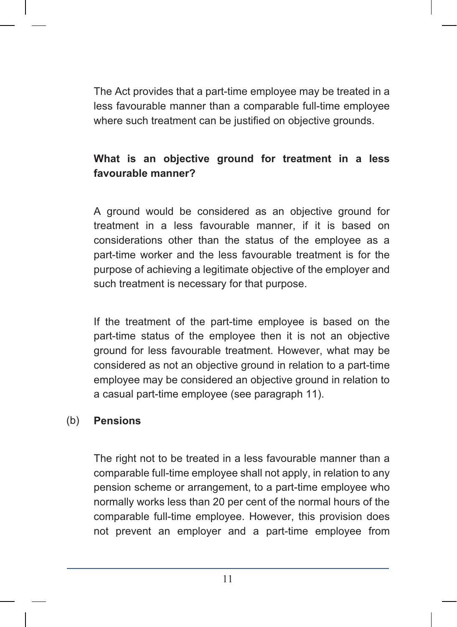The Act provides that a part-time employee may be treated in a less favourable manner than a comparable full-time employee where such treatment can be justified on objective grounds.

# What is an objective ground for treatment in a less favourable manner?

A ground would be considered as an objective ground for treatment in a less favourable manner, if it is based on considerations other than the status of the employee as a part-time worker and the less favourable treatment is for the purpose of achieving a legitimate objective of the employer and such treatment is necessary for that purpose.

If the treatment of the part-time employee is based on the part-time status of the employee then it is not an objective ground for less favourable treatment. However, what may be considered as not an objective ground in relation to a part-time employee may be considered an objective ground in relation to a casual part-time employee (see paragraph 11).

#### $(b)$ **Pensions**

The right not to be treated in a less favourable manner than a comparable full-time employee shall not apply, in relation to any pension scheme or arrangement, to a part-time employee who normally works less than 20 per cent of the normal hours of the comparable full-time employee. However, this provision does not prevent an employer and a part-time employee from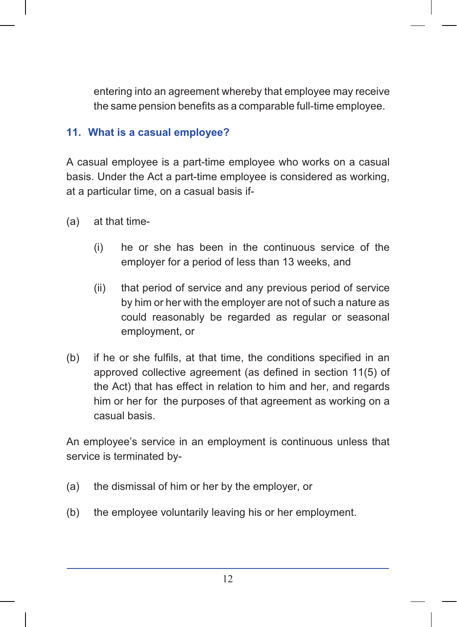entering into an agreement whereby that employee may receive the same pension benefits as a comparable full-time employee.

#### 11. What is a casual employee?

A casual employee is a part-time employee who works on a casual basis. Under the Act a part-time employee is considered as working, at a particular time, on a casual basis if-

- at that time- $(a)$ 
	- $(i)$ he or she has been in the continuous service of the employer for a period of less than 13 weeks, and
	- $(ii)$ that period of service and any previous period of service by him or her with the employer are not of such a nature as could reasonably be regarded as regular or seasonal employment, or
- if he or she fulfils, at that time, the conditions specified in an  $(b)$ approved collective agreement (as defined in section 11(5) of the Act) that has effect in relation to him and her, and regards him or her for the purposes of that agreement as working on a casual basis.

An employee's service in an employment is continuous unless that service is terminated by-

- the dismissal of him or her by the employer, or  $(a)$
- the employee voluntarily leaving his or her employment.  $(b)$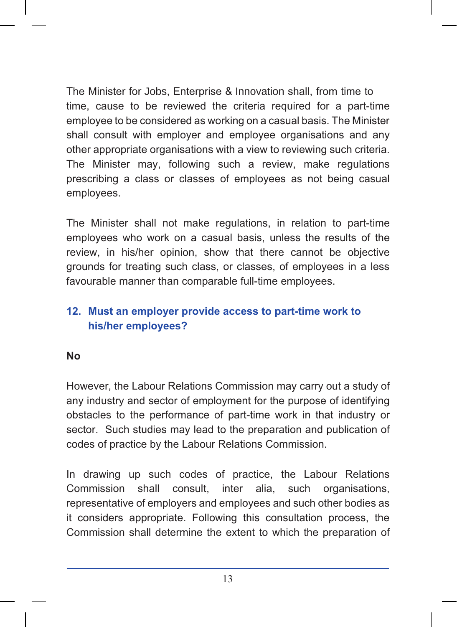The Minister for Jobs, Enterprise & Innovation shall, from time to time, cause to be reviewed the criteria required for a part-time employee to be considered as working on a casual basis. The Minister shall consult with employer and employee organisations and any other appropriate organisations with a view to reviewing such criteria. The Minister may, following such a review, make regulations prescribing a class or classes of employees as not being casual employees.

The Minister shall not make regulations, in relation to part-time employees who work on a casual basis, unless the results of the review, in his/her opinion, show that there cannot be objective grounds for treating such class, or classes, of employees in a less favourable manner than comparable full-time employees.

# 12. Must an employer provide access to part-time work to his/her employees?

#### **No**

However, the Labour Relations Commission may carry out a study of any industry and sector of employment for the purpose of identifying obstacles to the performance of part-time work in that industry or sector. Such studies may lead to the preparation and publication of codes of practice by the Labour Relations Commission.

In drawing up such codes of practice, the Labour Relations organisations. Commission shall consult. inter alia. such representative of employers and employees and such other bodies as it considers appropriate. Following this consultation process, the Commission shall determine the extent to which the preparation of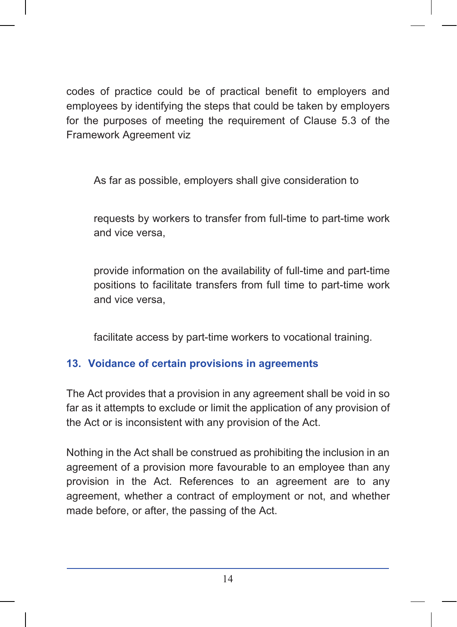codes of practice could be of practical benefit to employers and employees by identifying the steps that could be taken by employers for the purposes of meeting the requirement of Clause 5.3 of the Framework Agreement viz

As far as possible, employers shall give consideration to

requests by workers to transfer from full-time to part-time work and vice versa.

provide information on the availability of full-time and part-time positions to facilitate transfers from full time to part-time work and vice versa.

facilitate access by part-time workers to vocational training.

# 13. Voidance of certain provisions in agreements

The Act provides that a provision in any agreement shall be void in so far as it attempts to exclude or limit the application of any provision of the Act or is inconsistent with any provision of the Act.

Nothing in the Act shall be construed as prohibiting the inclusion in an agreement of a provision more favourable to an employee than any provision in the Act. References to an agreement are to any agreement, whether a contract of employment or not, and whether made before, or after, the passing of the Act.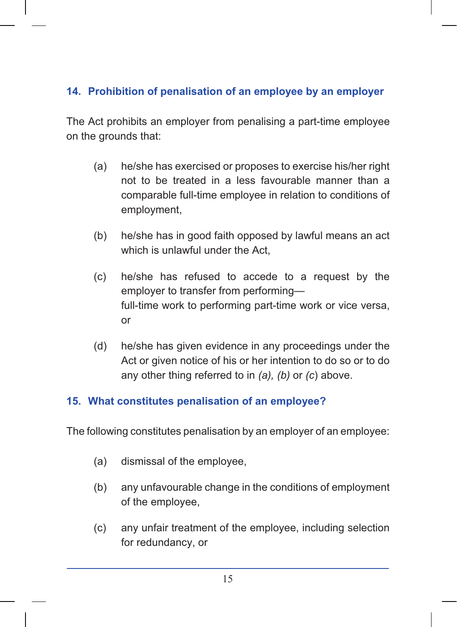# 14. Prohibition of penalisation of an employee by an employer

The Act prohibits an employer from penalising a part-time employee on the grounds that:

- (a) he/she has exercised or proposes to exercise his/her right not to be treated in a less favourable manner than a comparable full-time employee in relation to conditions of employment,
- $(b)$ he/she has in good faith opposed by lawful means an act which is unlawful under the Act.
- $(c)$ he/she has refused to accede to a request by the employer to transfer from performingfull-time work to performing part-time work or vice versa,  $or$
- $(d)$ he/she has given evidence in any proceedings under the Act or given notice of his or her intention to do so or to do any other thing referred to in  $(a)$ ,  $(b)$  or  $(c)$  above.

## 15. What constitutes penalisation of an employee?

The following constitutes penalisation by an employer of an employee:

- dismissal of the employee,  $(a)$
- $(b)$ any unfavourable change in the conditions of employment of the employee,
- any unfair treatment of the employee, including selection  $(c)$ for redundancy, or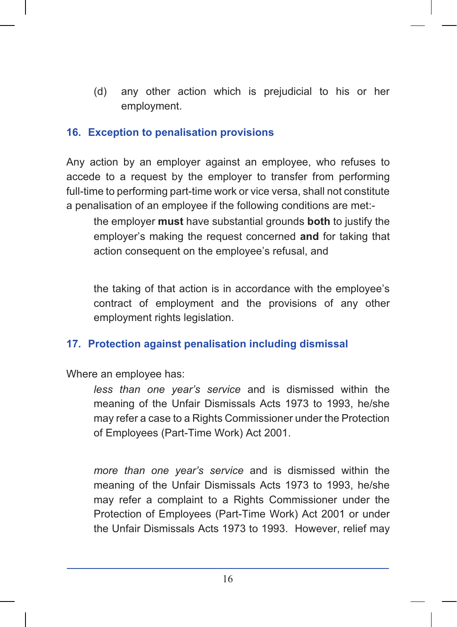$(d)$ any other action which is prejudicial to his or her employment.

#### 16. Exception to penalisation provisions

Any action by an employer against an employee, who refuses to accede to a request by the employer to transfer from performing full-time to performing part-time work or vice versa, shall not constitute a penalisation of an employee if the following conditions are met:-

the emplover must have substantial grounds both to justify the employer's making the request concerned and for taking that action consequent on the employee's refusal, and

the taking of that action is in accordance with the employee's contract of employment and the provisions of any other employment rights legislation.

#### 17. Protection against penalisation including dismissal

Where an employee has:

less than one year's service and is dismissed within the meaning of the Unfair Dismissals Acts 1973 to 1993, he/she may refer a case to a Rights Commissioner under the Protection of Employees (Part-Time Work) Act 2001.

more than one year's service and is dismissed within the meaning of the Unfair Dismissals Acts 1973 to 1993, he/she may refer a complaint to a Rights Commissioner under the Protection of Employees (Part-Time Work) Act 2001 or under the Unfair Dismissals Acts 1973 to 1993. However, relief may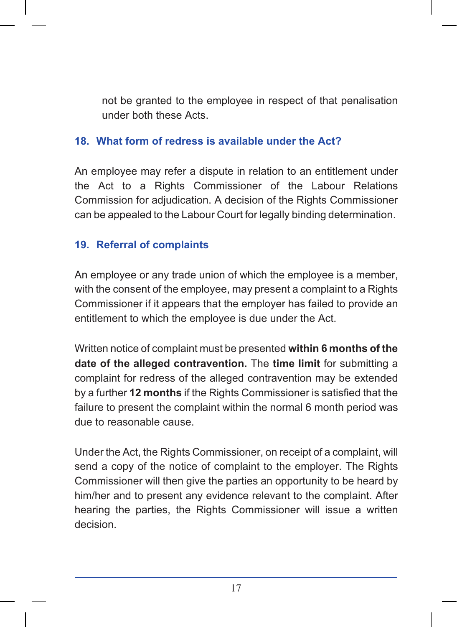not be granted to the employee in respect of that penalisation under both these Acts

### 18. What form of redress is available under the Act?

An employee may refer a dispute in relation to an entitlement under the Act to a Rights Commissioner of the Labour Relations Commission for adjudication. A decision of the Rights Commissioner can be appealed to the Labour Court for legally binding determination.

# 19. Referral of complaints

An employee or any trade union of which the employee is a member, with the consent of the employee, may present a complaint to a Rights Commissioner if it appears that the employer has failed to provide an entitlement to which the employee is due under the Act.

Written notice of complaint must be presented within 6 months of the date of the alleged contravention. The time limit for submitting a complaint for redress of the alleged contravention may be extended by a further 12 months if the Rights Commissioner is satisfied that the failure to present the complaint within the normal 6 month period was due to reasonable cause.

Under the Act, the Rights Commissioner, on receipt of a complaint, will send a copy of the notice of complaint to the employer. The Rights Commissioner will then give the parties an opportunity to be heard by him/her and to present any evidence relevant to the complaint. After hearing the parties, the Rights Commissioner will issue a written decision.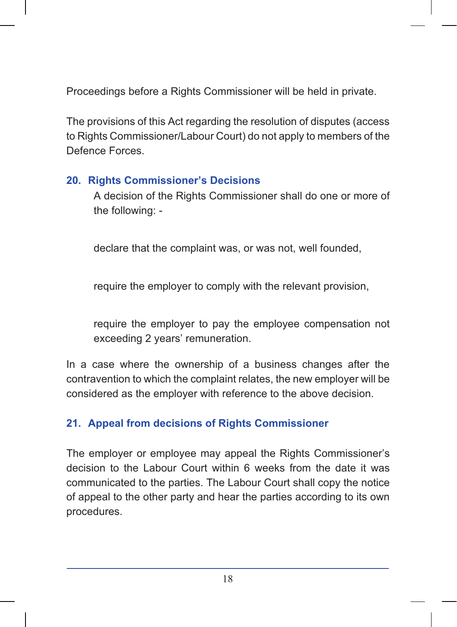Proceedings before a Rights Commissioner will be held in private.

The provisions of this Act regarding the resolution of disputes (access to Rights Commissioner/Labour Court) do not apply to members of the Defence Forces.

## **20. Rights Commissioner's Decisions**

A decision of the Rights Commissioner shall do one or more of the following: -

declare that the complaint was, or was not, well founded,

require the employer to comply with the relevant provision,

require the employer to pay the employee compensation not exceeding 2 years' remuneration.

In a case where the ownership of a business changes after the contravention to which the complaint relates, the new employer will be considered as the employer with reference to the above decision.

# 21. Appeal from decisions of Rights Commissioner

The employer or employee may appeal the Rights Commissioner's decision to the Labour Court within 6 weeks from the date it was communicated to the parties. The Labour Court shall copy the notice of appeal to the other party and hear the parties according to its own procedures.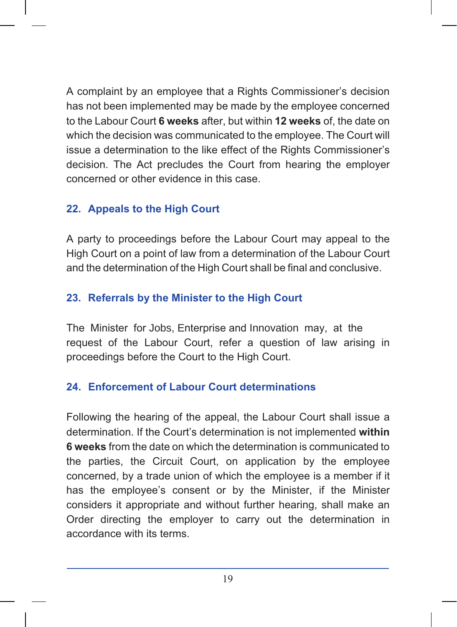A complaint by an employee that a Rights Commissioner's decision has not been implemented may be made by the employee concerned to the Labour Court 6 weeks after, but within 12 weeks of, the date on which the decision was communicated to the employee. The Court will issue a determination to the like effect of the Rights Commissioner's decision. The Act precludes the Court from hearing the employer concerned or other evidence in this case.

# 22. Appeals to the High Court

A party to proceedings before the Labour Court may appeal to the High Court on a point of law from a determination of the Labour Court and the determination of the High Court shall be final and conclusive.

# 23. Referrals by the Minister to the High Court

The Minister for Jobs, Enterprise and Innovation may, at the request of the Labour Court, refer a question of law arising in proceedings before the Court to the High Court.

## 24. Enforcement of Labour Court determinations

Following the hearing of the appeal, the Labour Court shall issue a determination. If the Court's determination is not implemented within 6 weeks from the date on which the determination is communicated to the parties, the Circuit Court, on application by the employee concerned, by a trade union of which the employee is a member if it has the employee's consent or by the Minister, if the Minister considers it appropriate and without further hearing, shall make an Order directing the employer to carry out the determination in accordance with its terms.